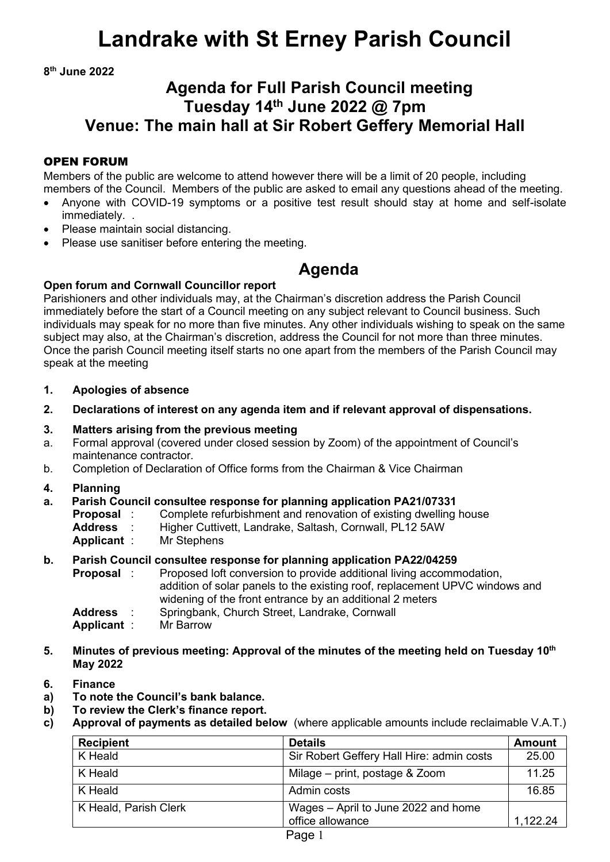# **Landrake with St Erney Parish Council**

**8 th June 2022**

# **Agenda for Full Parish Council meeting Tuesday 14 th June 2022 @ 7pm Venue: The main hall at Sir Robert Geffery Memorial Hall**

## OPEN FORUM

Members of the public are welcome to attend however there will be a limit of 20 people, including members of the Council. Members of the public are asked to email any questions ahead of the meeting.

- Anyone with COVID-19 symptoms or a positive test result should stay at home and self-isolate immediately.
- Please maintain social distancing.
- Please use sanitiser before entering the meeting.

# **Agenda**

## **Open forum and Cornwall Councillor report**

Parishioners and other individuals may, at the Chairman's discretion address the Parish Council immediately before the start of a Council meeting on any subject relevant to Council business. Such individuals may speak for no more than five minutes. Any other individuals wishing to speak on the same subject may also, at the Chairman's discretion, address the Council for not more than three minutes. Once the parish Council meeting itself starts no one apart from the members of the Parish Council may speak at the meeting

- **1. Apologies of absence**
- **2. Declarations of interest on any agenda item and if relevant approval of dispensations.**
- **3. Matters arising from the previous meeting**
- a. Formal approval (covered under closed session by Zoom) of the appointment of Council's maintenance contractor.
- b. Completion of Declaration of Office forms from the Chairman & Vice Chairman
- **4. Planning**

### **a. Parish Council consultee response for planning application PA21/07331**

- **Proposal** : Complete refurbishment and renovation of existing dwelling house<br>**Address** : Higher Cuttivett, Landrake, Saltash, Cornwall, PL12 5AW
	- **Address** : Higher Cuttivett, Landrake, Saltash, Cornwall, PL12 5AW
- **Applicant** : Mr Stephens

### **b. Parish Council consultee response for planning application PA22/04259**

- **Proposal** : Proposed loft conversion to provide additional living accommodation, addition of solar panels to the existing roof, replacement UPVC windows and widening of the front entrance by an additional 2 meters
- **Address** : Springbank, Church Street, Landrake, Cornwall
- **Applicant** : Mr Barrow
- **5. Minutes of previous meeting: Approval of the minutes of the meeting held on Tuesday 10 th May 2022**
- **6. Finance**
- **a) To note the Council's bank balance.**
- **b) To review the Clerk's finance report.**
- **c) Approval of payments as detailed below** (where applicable amounts include reclaimable V.A.T.)

| <b>Details</b>                            | <b>Amount</b> |
|-------------------------------------------|---------------|
| Sir Robert Geffery Hall Hire: admin costs | 25.00         |
| Milage – print, postage & Zoom            | 11.25         |
| Admin costs                               | 16.85         |
| Wages - April to June 2022 and home       |               |
| office allowance                          | 1.122.24      |
|                                           |               |